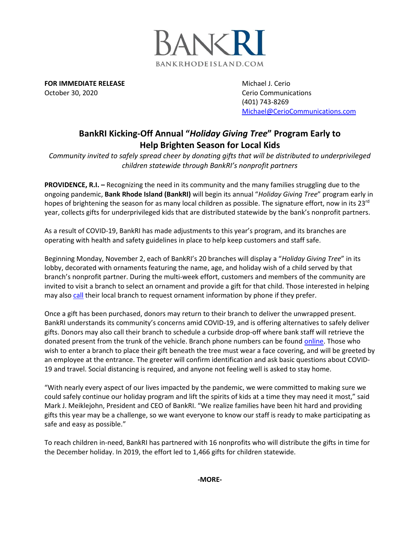

**FOR IMMEDIATE RELEASE** Michael J. Cerio October 30, 2020 Cerio Communications

(401) 743-8269 [Michael@CerioCommunications.com](mailto:Michael@CerioCommunications.com)

## **BankRI Kicking-Off Annual "***Holiday Giving Tree***" Program Early to Help Brighten Season for Local Kids**

*Community invited to safely spread cheer by donating gifts that will be distributed to underprivileged children statewide through BankRI's nonprofit partners*

**PROVIDENCE, R.I.** – Recognizing the need in its community and the many families struggling due to the ongoing pandemic, **Bank Rhode Island (BankRI)** will begin its annual "*Holiday Giving Tree*" program early in hopes of brightening the season for as many local children as possible. The signature effort, now in its 23<sup>rd</sup> year, collects gifts for underprivileged kids that are distributed statewide by the bank's nonprofit partners.

As a result of COVID-19, BankRI has made adjustments to this year's program, and its branches are operating with health and safety guidelines in place to help keep customers and staff safe.

Beginning Monday, November 2, each of BankRI's 20 branches will display a "*Holiday Giving Tree*" in its lobby, decorated with ornaments featuring the name, age, and holiday wish of a child served by that branch's nonprofit partner. During the multi-week effort, customers and members of the community are invited to visit a branch to select an ornament and provide a gift for that child. Those interested in helping may als[o call](https://www.bankri.com/locations/) their local branch to request ornament information by phone if they prefer.

Once a gift has been purchased, donors may return to their branch to deliver the unwrapped present. BankRI understands its community's concerns amid COVID-19, and is offering alternatives to safely deliver gifts. Donors may also call their branch to schedule a curbside drop-off where bank staff will retrieve the donated present from the trunk of the vehicle. Branch phone numbers can be foun[d online.](https://www.bankri.com/locations/) Those who wish to enter a branch to place their gift beneath the tree must wear a face covering, and will be greeted by an employee at the entrance. The greeter will confirm identification and ask basic questions about COVID-19 and travel. Social distancing is required, and anyone not feeling well is asked to stay home.

"With nearly every aspect of our lives impacted by the pandemic, we were committed to making sure we could safely continue our holiday program and lift the spirits of kids at a time they may need it most," said Mark J. Meiklejohn, President and CEO of BankRI. "We realize families have been hit hard and providing gifts this year may be a challenge, so we want everyone to know our staff is ready to make participating as safe and easy as possible."

To reach children in-need, BankRI has partnered with 16 nonprofits who will distribute the gifts in time for the December holiday. In 2019, the effort led to 1,466 gifts for children statewide.

**-MORE-**